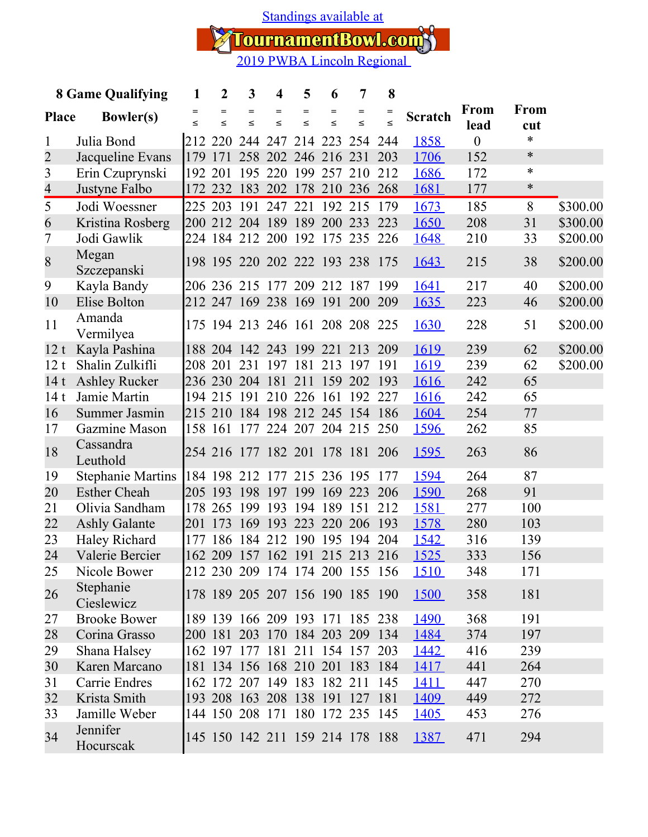[Standings available at](https://tournamentbowl.com/Open/standings_custom.cfm?id_event=5005&id_tournament=1547)

TournamentBowl.com<sup>3</sup><br>2019 PWBA Lincoln Regional

| <b>8 Game Qualifying</b> |                          | 1             | $\overline{2}$ | 3             | $\overline{\mathbf{4}}$         | 5             | 6             | 7             | 8           |                |                  |               |          |
|--------------------------|--------------------------|---------------|----------------|---------------|---------------------------------|---------------|---------------|---------------|-------------|----------------|------------------|---------------|----------|
| <b>Place</b>             | <b>Bowler(s)</b>         | $=$<br>$\leq$ | $=$<br>$\leq$  | $=$<br>$\leq$ | $=$<br>$\leq$                   | $=$<br>$\leq$ | $=$<br>$\leq$ | $=$<br>$\leq$ | =<br>$\leq$ | <b>Scratch</b> | From             | From          |          |
| $\mathbf{1}$             | Julia Bond               |               |                |               | 212 220 244 247 214 223 254     |               |               |               | 244         | 1858           | lead<br>$\theta$ | cut<br>$\ast$ |          |
| $\overline{2}$           | Jacqueline Evans         |               |                |               | 179 171 258 202 246 216 231     |               |               |               | 203         | 1706           | 152              | $\ast$        |          |
| 3                        | Erin Czuprynski          |               | 192 201        |               | 195 220 199 257 210             |               |               |               | 212         | 1686           | 172              | $\ast$        |          |
| $\overline{4}$           | Justyne Falbo            |               |                |               | 172 232 183 202 178 210 236 268 |               |               |               |             | 1681           | 177              | $\ast$        |          |
| 5                        | Jodi Woessner            |               |                |               | 225 203 191 247 221 192 215 179 |               |               |               |             | 1673           | 185              | 8             | \$300.00 |
| 6                        | Kristina Rosberg         |               |                |               | 200 212 204 189 189 200 233     |               |               |               | 223         | 1650           | 208              | 31            | \$300.00 |
| 7                        | Jodi Gawlik              |               |                |               | 224 184 212 200 192 175 235     |               |               |               | 226         | 1648           | 210              | 33            | \$200.00 |
| 8                        | Megan                    |               |                |               | 198 195 220 202 222 193 238 175 |               |               |               |             | 1643           | 215              | 38            | \$200.00 |
|                          | Szczepanski              |               |                |               |                                 |               |               |               |             |                |                  |               |          |
| 9                        | Kayla Bandy              |               |                |               | 206 236 215 177 209 212 187     |               |               |               | 199         | 1641           | 217              | 40            | \$200.00 |
| 10                       | Elise Bolton             |               |                |               | 212 247 169 238 169 191 200     |               |               |               | 209         | <u>1635</u>    | 223              | 46            | \$200.00 |
| 11                       | Amanda<br>Vermilyea      |               |                |               | 175 194 213 246 161 208 208 225 |               |               |               |             | 1630           | 228              | 51            | \$200.00 |
| 12t                      | Kayla Pashina            |               |                |               | 188 204 142 243 199 221         |               |               | 213           | 209         | 1619           | 239              | 62            | \$200.00 |
| 12t                      | Shalin Zulkifli          |               |                |               | 208 201 231 197 181 213 197     |               |               |               | 191         | 1619           | 239              | 62            | \$200.00 |
| 14t                      | <b>Ashley Rucker</b>     |               |                |               | 236 230 204 181 211 159 202     |               |               |               | 193         | 1616           | 242              | 65            |          |
| 14t                      | Jamie Martin             |               |                |               | 194 215 191 210 226 161 192     |               |               |               | 227         | <u>1616</u>    | 242              | 65            |          |
| 16                       | Summer Jasmin            |               |                |               | 215 210 184 198 212 245 154 186 |               |               |               |             | 1604           | 254              | 77            |          |
| 17                       | Gazmine Mason            |               |                |               | 158 161 177 224 207 204 215     |               |               |               | 250         | <u>1596</u>    | 262              | 85            |          |
| 18                       | Cassandra<br>Leuthold    |               |                |               | 254 216 177 182 201 178 181 206 |               |               |               |             | 1595           | 263              | 86            |          |
| 19                       | <b>Stephanie Martins</b> |               |                |               | 184 198 212 177 215 236 195     |               |               |               | 177         | 1594           | 264              | 87            |          |
| 20                       | <b>Esther Cheah</b>      |               |                |               | 205 193 198 197 199 169 223     |               |               |               | 206         | 1590           | 268              | 91            |          |
| 21                       | Olivia Sandham           | 178           |                |               | 265 199 193 194 189             |               |               | 151           | 212         | 1581           | 277              | 100           |          |
| 22                       | <b>Ashly Galante</b>     |               | 201 173        | 169 193       |                                 | 223           | 220 206       |               | 193         | 1578           | 280              | 103           |          |
| 23                       | Haley Richard            | 177           |                |               | 186 184 212 190 195 194         |               |               |               | 204         | <u>1542</u>    | 316              | 139           |          |
| 24                       | Valerie Bercier          |               |                |               | 162 209 157 162 191 215 213     |               |               |               | 216         | 1525           | 333              | 156           |          |
| 25                       | Nicole Bower             |               |                |               | 212 230 209 174 174 200 155 156 |               |               |               |             | <u>1510</u>    | 348              | 171           |          |
| 26                       | Stephanie<br>Cieslewicz  |               |                |               | 178 189 205 207 156 190 185 190 |               |               |               |             | <b>1500</b>    | 358              | 181           |          |
| 27                       | <b>Brooke Bower</b>      |               |                |               | 189 139 166 209 193 171 185 238 |               |               |               |             | <u>1490</u>    | 368              | 191           |          |
| 28                       | Corina Grasso            |               |                |               | 200 181 203 170 184 203 209 134 |               |               |               |             | 1484           | 374              | 197           |          |
| 29                       | Shana Halsey             |               |                |               | 162 197 177 181 211 154 157 203 |               |               |               |             | <u> 1442 </u>  | 416              | 239           |          |
| 30                       | Karen Marcano            |               |                |               | 181 134 156 168 210 201 183 184 |               |               |               |             | <u>1417</u>    | 441              | 264           |          |
| 31                       | Carrie Endres            |               |                |               | 162 172 207 149 183 182 211 145 |               |               |               |             | <u>1411</u>    | 447              | 270           |          |
| 32                       | Krista Smith             |               |                |               | 193 208 163 208 138 191 127 181 |               |               |               |             | 1409           | 449              | 272           |          |
| 33                       | Jamille Weber            |               |                |               | 144 150 208 171 180 172 235 145 |               |               |               |             | <u>1405</u>    | 453              | 276           |          |
| 34                       | Jennifer<br>Hocurscak    |               |                |               | 145 150 142 211 159 214 178 188 |               |               |               |             | 1387           | 471              | 294           |          |